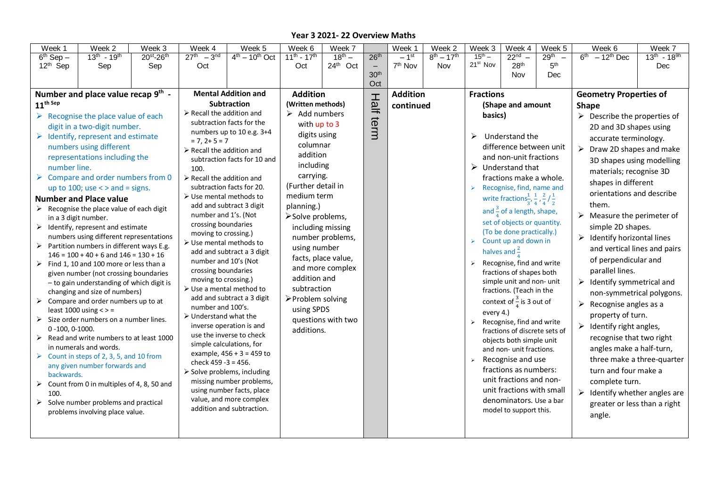| Week 1                                                       | Week 2                                                                           | Week 3                                                                                                                                                                                | Week 4                                                                                                                                                                                                                                                                                                                                                                                                               | Week 5                    | Week 6                                                                                                                                                                                                                    | Week 7      |                          | Week 1              | Week 2                | Week 3                                                                                                             | Week 4                                                                            | Week 5                                       | Week 6                                                                                                                      | Week 7                       |  |
|--------------------------------------------------------------|----------------------------------------------------------------------------------|---------------------------------------------------------------------------------------------------------------------------------------------------------------------------------------|----------------------------------------------------------------------------------------------------------------------------------------------------------------------------------------------------------------------------------------------------------------------------------------------------------------------------------------------------------------------------------------------------------------------|---------------------------|---------------------------------------------------------------------------------------------------------------------------------------------------------------------------------------------------------------------------|-------------|--------------------------|---------------------|-----------------------|--------------------------------------------------------------------------------------------------------------------|-----------------------------------------------------------------------------------|----------------------------------------------|-----------------------------------------------------------------------------------------------------------------------------|------------------------------|--|
| $6th$ Sep $-$                                                | $13^{th} - 19^{th}$                                                              | 20st-26th                                                                                                                                                                             | $27^{th} - 3^{nd}$                                                                                                                                                                                                                                                                                                                                                                                                   | $4th - 10th$ Oct          | $11^{th} - 17^{th}$                                                                                                                                                                                                       | $18^{th} -$ | 26 <sup>th</sup>         | $-1$ <sup>st</sup>  | $8^{th} - 17^{th}$    | $15^{th} -$                                                                                                        | $22nd$ –                                                                          | 29 <sup>th</sup><br>$\overline{\phantom{0}}$ | $6th - 12th$ Dec                                                                                                            | $13^{th} - 18^{9h}$          |  |
| 12 <sup>th</sup> Sep                                         | Sep                                                                              | Sep                                                                                                                                                                                   | Oct                                                                                                                                                                                                                                                                                                                                                                                                                  |                           | Oct                                                                                                                                                                                                                       | 24th Oct    | $\overline{\phantom{m}}$ | 7 <sup>th</sup> Nov | Nov                   | 21 <sup>st</sup> Nov                                                                                               | 28 <sup>th</sup>                                                                  | 5 <sup>th</sup>                              |                                                                                                                             | Dec                          |  |
|                                                              |                                                                                  |                                                                                                                                                                                       |                                                                                                                                                                                                                                                                                                                                                                                                                      |                           |                                                                                                                                                                                                                           |             | 30 <sup>th</sup>         |                     |                       |                                                                                                                    | Nov                                                                               | Dec                                          |                                                                                                                             |                              |  |
|                                                              | Number and place value recap 9th -                                               |                                                                                                                                                                                       |                                                                                                                                                                                                                                                                                                                                                                                                                      |                           | <b>Addition</b>                                                                                                                                                                                                           |             | Oct                      | <b>Addition</b>     |                       |                                                                                                                    |                                                                                   |                                              |                                                                                                                             |                              |  |
| $11^{\text{th Sep}}$                                         |                                                                                  |                                                                                                                                                                                       | <b>Mental Addition and</b><br>Subtraction                                                                                                                                                                                                                                                                                                                                                                            |                           | (Written methods)                                                                                                                                                                                                         |             |                          |                     |                       | <b>Fractions</b><br>(Shape and amount                                                                              |                                                                                   |                                              | <b>Geometry Properties of</b>                                                                                               |                              |  |
|                                                              |                                                                                  |                                                                                                                                                                                       | $\triangleright$ Recall the addition and                                                                                                                                                                                                                                                                                                                                                                             |                           | $\triangleright$ Add numbers                                                                                                                                                                                              |             | Half                     | continued           |                       |                                                                                                                    |                                                                                   |                                              | <b>Shape</b>                                                                                                                |                              |  |
| $\triangleright$ Recognise the place value of each           |                                                                                  |                                                                                                                                                                                       | subtraction facts for the                                                                                                                                                                                                                                                                                                                                                                                            |                           | with up to 3                                                                                                                                                                                                              |             | term                     |                     |                       | basics)                                                                                                            |                                                                                   |                                              | $\triangleright$ Describe the properties of                                                                                 |                              |  |
|                                                              | digit in a two-digit number.                                                     |                                                                                                                                                                                       | numbers up to 10 e.g. 3+4                                                                                                                                                                                                                                                                                                                                                                                            |                           | digits using                                                                                                                                                                                                              |             |                          |                     |                       | ↘                                                                                                                  |                                                                                   |                                              | 2D and 3D shapes using<br>accurate terminology.                                                                             |                              |  |
|                                                              | $\triangleright$ Identify, represent and estimate                                |                                                                                                                                                                                       | $= 7, 2 + 5 = 7$                                                                                                                                                                                                                                                                                                                                                                                                     |                           | columnar                                                                                                                                                                                                                  |             |                          |                     |                       |                                                                                                                    | Understand the                                                                    |                                              |                                                                                                                             |                              |  |
|                                                              | numbers using different                                                          |                                                                                                                                                                                       | $\triangleright$ Recall the addition and                                                                                                                                                                                                                                                                                                                                                                             |                           | addition                                                                                                                                                                                                                  |             |                          |                     |                       | difference between unit                                                                                            |                                                                                   |                                              | Draw 2D shapes and make<br>➤                                                                                                |                              |  |
|                                                              | representations including the                                                    |                                                                                                                                                                                       | subtraction facts for 10 and                                                                                                                                                                                                                                                                                                                                                                                         |                           | including                                                                                                                                                                                                                 |             |                          |                     |                       | and non-unit fractions<br>$\triangleright$ Understand that<br>fractions make a whole.<br>Recognise, find, name and |                                                                                   |                                              | 3D shapes using modelling<br>materials; recognise 3D<br>shapes in different                                                 |                              |  |
| number line.                                                 |                                                                                  |                                                                                                                                                                                       | 100.                                                                                                                                                                                                                                                                                                                                                                                                                 |                           | carrying.                                                                                                                                                                                                                 |             |                          |                     |                       |                                                                                                                    |                                                                                   |                                              |                                                                                                                             |                              |  |
|                                                              | $\triangleright$ Compare and order numbers from 0                                |                                                                                                                                                                                       | $\triangleright$ Recall the addition and                                                                                                                                                                                                                                                                                                                                                                             |                           | (Further detail in                                                                                                                                                                                                        |             |                          |                     |                       |                                                                                                                    |                                                                                   |                                              |                                                                                                                             |                              |  |
|                                                              | up to 100; use $\lt$ > and = signs.                                              |                                                                                                                                                                                       | subtraction facts for 20.<br>$\triangleright$ Use mental methods to                                                                                                                                                                                                                                                                                                                                                  |                           | medium term                                                                                                                                                                                                               |             |                          |                     |                       | $\blacktriangleright$                                                                                              |                                                                                   |                                              | orientations and describe                                                                                                   |                              |  |
|                                                              | <b>Number and Place value</b>                                                    |                                                                                                                                                                                       | add and subtract 3 digit                                                                                                                                                                                                                                                                                                                                                                                             |                           | planning.)                                                                                                                                                                                                                |             |                          |                     |                       | write fractions $\frac{1}{3}, \frac{1}{4}, \frac{2}{4}$ / $\frac{1}{2}$                                            |                                                                                   |                                              | them.                                                                                                                       |                              |  |
|                                                              | $\triangleright$ Recognise the place value of each digit<br>in a 3 digit number. |                                                                                                                                                                                       | number and 1's. (Not                                                                                                                                                                                                                                                                                                                                                                                                 |                           | >Solve problems,<br>including missing<br>number problems,<br>using number<br>facts, place value,<br>and more complex<br>addition and<br>subtraction<br>≻Problem solving<br>using SPDS<br>questions with two<br>additions. |             |                          |                     |                       |                                                                                                                    | and $\frac{3}{4}$ of a length, shape,                                             |                                              | Measure the perimeter of<br>simple 2D shapes.<br>$\triangleright$ Identify horizontal lines<br>and vertical lines and pairs |                              |  |
|                                                              | $\triangleright$ Identify, represent and estimate                                |                                                                                                                                                                                       | crossing boundaries<br>moving to crossing.)<br>$\triangleright$ Use mental methods to<br>add and subtract a 3 digit<br>number and 10's (Not<br>crossing boundaries<br>moving to crossing.)<br>$\triangleright$ Use a mental method to<br>add and subtract a 3 digit<br>number and 100's.<br>$\triangleright$ Understand what the<br>inverse operation is and<br>use the inverse to check<br>simple calculations, for |                           |                                                                                                                                                                                                                           |             |                          |                     |                       |                                                                                                                    | set of objects or quantity.                                                       |                                              |                                                                                                                             |                              |  |
|                                                              | numbers using different representations                                          |                                                                                                                                                                                       |                                                                                                                                                                                                                                                                                                                                                                                                                      |                           |                                                                                                                                                                                                                           |             |                          |                     |                       |                                                                                                                    | (To be done practically.)                                                         |                                              |                                                                                                                             |                              |  |
|                                                              | $\triangleright$ Partition numbers in different ways E.g.                        |                                                                                                                                                                                       |                                                                                                                                                                                                                                                                                                                                                                                                                      |                           |                                                                                                                                                                                                                           |             |                          |                     |                       | $\blacktriangleright$                                                                                              | Count up and down in                                                              |                                              |                                                                                                                             |                              |  |
|                                                              | $146 = 100 + 40 + 6$ and $146 = 130 + 16$                                        |                                                                                                                                                                                       |                                                                                                                                                                                                                                                                                                                                                                                                                      |                           |                                                                                                                                                                                                                           |             |                          |                     |                       |                                                                                                                    | halves and $\frac{2}{x}$                                                          |                                              |                                                                                                                             |                              |  |
|                                                              | $\triangleright$ Find 1, 10 and 100 more or less than a                          |                                                                                                                                                                                       |                                                                                                                                                                                                                                                                                                                                                                                                                      |                           |                                                                                                                                                                                                                           |             |                          |                     |                       |                                                                                                                    | Recognise, find and write                                                         |                                              | of perpendicular and                                                                                                        |                              |  |
|                                                              | given number (not crossing boundaries                                            |                                                                                                                                                                                       |                                                                                                                                                                                                                                                                                                                                                                                                                      |                           |                                                                                                                                                                                                                           |             |                          |                     |                       |                                                                                                                    | fractions of shapes both<br>simple unit and non- unit<br>fractions. (Teach in the |                                              | parallel lines.                                                                                                             |                              |  |
|                                                              | - to gain understanding of which digit is                                        |                                                                                                                                                                                       |                                                                                                                                                                                                                                                                                                                                                                                                                      |                           |                                                                                                                                                                                                                           |             |                          |                     |                       |                                                                                                                    |                                                                                   |                                              | $\triangleright$ Identify symmetrical and                                                                                   |                              |  |
|                                                              | changing and size of numbers)                                                    |                                                                                                                                                                                       |                                                                                                                                                                                                                                                                                                                                                                                                                      |                           |                                                                                                                                                                                                                           |             |                          |                     |                       |                                                                                                                    |                                                                                   |                                              | non-symmetrical polygons.<br>$\blacktriangleright$<br>Recognise angles as a                                                 |                              |  |
| $\blacktriangleright$                                        | Compare and order numbers up to at<br>least $1000$ using $\lt$ > =               |                                                                                                                                                                                       |                                                                                                                                                                                                                                                                                                                                                                                                                      |                           |                                                                                                                                                                                                                           |             |                          |                     |                       |                                                                                                                    | context of $\frac{3}{4}$ is 3 out of                                              |                                              |                                                                                                                             |                              |  |
|                                                              | $\triangleright$ Size order numbers on a number lines.                           |                                                                                                                                                                                       |                                                                                                                                                                                                                                                                                                                                                                                                                      |                           |                                                                                                                                                                                                                           |             |                          |                     |                       |                                                                                                                    | every 4.)<br>$\triangleright$ Recognise, find and write                           |                                              | property of turn.                                                                                                           |                              |  |
| $0 - 100, 0 - 1000.$                                         |                                                                                  |                                                                                                                                                                                       |                                                                                                                                                                                                                                                                                                                                                                                                                      |                           |                                                                                                                                                                                                                           |             |                          |                     |                       |                                                                                                                    |                                                                                   |                                              | Identify right angles,                                                                                                      |                              |  |
|                                                              | $\triangleright$ Read and write numbers to at least 1000                         |                                                                                                                                                                                       |                                                                                                                                                                                                                                                                                                                                                                                                                      |                           |                                                                                                                                                                                                                           |             |                          |                     |                       |                                                                                                                    | fractions of discrete sets of                                                     |                                              | recognise that two right                                                                                                    |                              |  |
|                                                              | in numerals and words.                                                           |                                                                                                                                                                                       |                                                                                                                                                                                                                                                                                                                                                                                                                      |                           |                                                                                                                                                                                                                           |             |                          |                     |                       |                                                                                                                    | objects both simple unit<br>and non- unit fractions.                              |                                              | angles make a half-turn,                                                                                                    |                              |  |
| $\triangleright$ Count in steps of 2, 3, 5, and 10 from      |                                                                                  | example, $456 + 3 = 459$ to<br>check 459 - 3 = 456.<br>$\triangleright$ Solve problems, including<br>missing number problems,<br>using number facts, place<br>value, and more complex |                                                                                                                                                                                                                                                                                                                                                                                                                      |                           |                                                                                                                                                                                                                           |             |                          |                     |                       | Recognise and use                                                                                                  |                                                                                   |                                              | three make a three-quarter                                                                                                  |                              |  |
| any given number forwards and                                |                                                                                  |                                                                                                                                                                                       |                                                                                                                                                                                                                                                                                                                                                                                                                      |                           |                                                                                                                                                                                                                           |             |                          |                     | $\blacktriangleright$ | fractions as numbers:                                                                                              |                                                                                   | turn and four make a                         |                                                                                                                             |                              |  |
| backwards.                                                   |                                                                                  |                                                                                                                                                                                       |                                                                                                                                                                                                                                                                                                                                                                                                                      |                           |                                                                                                                                                                                                                           |             |                          |                     |                       | unit fractions and non-                                                                                            |                                                                                   | complete turn.                               |                                                                                                                             |                              |  |
| Count from 0 in multiples of 4, 8, 50 and<br>➤               |                                                                                  |                                                                                                                                                                                       |                                                                                                                                                                                                                                                                                                                                                                                                                      |                           |                                                                                                                                                                                                                           |             |                          |                     |                       | unit fractions with small                                                                                          |                                                                                   | $\triangleright$ Identify whether angles are |                                                                                                                             |                              |  |
| 100.<br>$\triangleright$ Solve number problems and practical |                                                                                  |                                                                                                                                                                                       |                                                                                                                                                                                                                                                                                                                                                                                                                      |                           |                                                                                                                                                                                                                           |             |                          |                     |                       | denominators. Use a bar                                                                                            |                                                                                   |                                              |                                                                                                                             |                              |  |
|                                                              |                                                                                  |                                                                                                                                                                                       |                                                                                                                                                                                                                                                                                                                                                                                                                      | addition and subtraction. |                                                                                                                                                                                                                           |             |                          |                     |                       |                                                                                                                    | model to support this.                                                            |                                              |                                                                                                                             | greater or less than a right |  |
| problems involving place value.                              |                                                                                  |                                                                                                                                                                                       |                                                                                                                                                                                                                                                                                                                                                                                                                      |                           |                                                                                                                                                                                                                           |             |                          |                     |                       |                                                                                                                    |                                                                                   | angle.                                       |                                                                                                                             |                              |  |
|                                                              |                                                                                  |                                                                                                                                                                                       |                                                                                                                                                                                                                                                                                                                                                                                                                      |                           |                                                                                                                                                                                                                           |             |                          |                     |                       |                                                                                                                    |                                                                                   |                                              |                                                                                                                             |                              |  |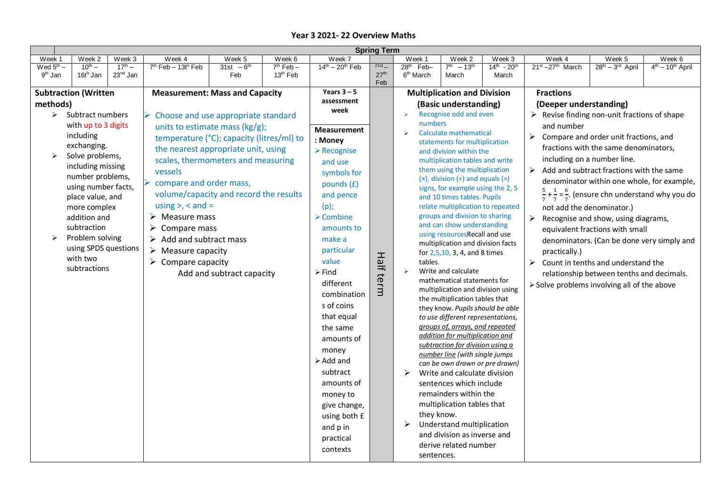| <b>Spring Term</b>    |                                                            |                                                                                           |                                                                       |                          |                               |                                                                                 |                                                                                  |                                                             |                                   |                                                                      |                                                                                                 |                                                                                                  |                          |                    |  |  |
|-----------------------|------------------------------------------------------------|-------------------------------------------------------------------------------------------|-----------------------------------------------------------------------|--------------------------|-------------------------------|---------------------------------------------------------------------------------|----------------------------------------------------------------------------------|-------------------------------------------------------------|-----------------------------------|----------------------------------------------------------------------|-------------------------------------------------------------------------------------------------|--------------------------------------------------------------------------------------------------|--------------------------|--------------------|--|--|
| Week 1                | Week 2                                                     | Week 3                                                                                    | Week 4                                                                | Week 5                   | Week 6                        | Week 7                                                                          |                                                                                  | Week 1                                                      |                                   | Week <sub>2</sub>                                                    | Week 3                                                                                          | Week 4                                                                                           | Week 5                   | Week 6             |  |  |
| Wed $5^{\text{th}}$ – | $\overline{10}^{\text{th}}$ –                              | $17^{th} -$                                                                               | $7th$ Feb - 13t <sup>h</sup> Feb                                      | 31st $-6^{th}$           | $7th$ Feb $-$                 | $14^{th} - 20^{th}$ Feb                                                         | $21st$ $-$                                                                       | $28th$ Feb-                                                 |                                   | $7^{th} - 13^{th}$                                                   | $14^{th} - 20^{th}$                                                                             | $21^{st} - 27^{th}$ March                                                                        | $28^{th} - 3^{rd}$ April | $4th - 10th$ April |  |  |
| 9 <sup>th</sup> Jan   | 16th Jan                                                   | 23 <sup>nd</sup> Jan                                                                      |                                                                       | Feb                      | 13 <sup>th</sup> Feb          |                                                                                 | 27 <sup>th</sup><br>Feb                                                          | 6 <sup>th</sup> March                                       |                                   | March                                                                | March                                                                                           |                                                                                                  |                          |                    |  |  |
|                       | <b>Subtraction (Written</b>                                |                                                                                           | <b>Measurement: Mass and Capacity</b>                                 |                          |                               | Years $3 - 5$                                                                   |                                                                                  |                                                             |                                   | <b>Multiplication and Division</b>                                   |                                                                                                 | <b>Fractions</b>                                                                                 |                          |                    |  |  |
| methods)              |                                                            |                                                                                           |                                                                       | assessment               |                               |                                                                                 |                                                                                  |                                                             |                                   |                                                                      |                                                                                                 |                                                                                                  |                          |                    |  |  |
|                       | $\triangleright$ Subtract numbers                          |                                                                                           |                                                                       |                          |                               | week                                                                            |                                                                                  | $\blacktriangleright$                                       |                                   | (Basic understanding)<br>Recognise odd and even                      |                                                                                                 | (Deeper understanding)<br>$\triangleright$ Revise finding non-unit fractions of shape            |                          |                    |  |  |
|                       | with up to 3 digits                                        |                                                                                           | Choose and use appropriate standard<br>units to estimate mass (kg/g); |                          |                               |                                                                                 |                                                                                  |                                                             | numbers                           |                                                                      |                                                                                                 | and number                                                                                       |                          |                    |  |  |
|                       | including                                                  |                                                                                           | temperature (°C); capacity (litres/ml) to                             |                          | <b>Measurement</b><br>: Money |                                                                                 | Calculate mathematical<br>$\blacktriangleright$<br>statements for multiplication |                                                             |                                   |                                                                      | $\triangleright$ Compare and order unit fractions, and<br>fractions with the same denominators, |                                                                                                  |                          |                    |  |  |
|                       | exchanging.                                                |                                                                                           |                                                                       |                          |                               |                                                                                 |                                                                                  |                                                             |                                   |                                                                      |                                                                                                 |                                                                                                  |                          |                    |  |  |
| ➤                     | Solve problems,                                            |                                                                                           | the nearest appropriate unit, using                                   |                          |                               | $\triangleright$ Recognise                                                      |                                                                                  |                                                             |                                   | and division within the                                              |                                                                                                 |                                                                                                  |                          |                    |  |  |
|                       | including missing                                          |                                                                                           | scales, thermometers and measuring                                    |                          |                               | and use                                                                         |                                                                                  | multiplication tables and write                             |                                   |                                                                      |                                                                                                 | including on a number line.                                                                      |                          |                    |  |  |
|                       | number problems,                                           |                                                                                           | vessels                                                               |                          | symbols for                   |                                                                                 | them using the multiplication                                                    |                                                             |                                   |                                                                      | $\triangleright$ Add and subtract fractions with the same                                       |                                                                                                  |                          |                    |  |  |
|                       | using number facts,                                        |                                                                                           | compare and order mass,                                               | pounds (£)               |                               | $(x)$ , division $(\div)$ and equals $(=)$<br>signs, for example using the 2, 5 |                                                                                  |                                                             |                                   | denominator within one whole, for example,                           |                                                                                                 |                                                                                                  |                          |                    |  |  |
|                       | volume/capacity and record the results<br>place value, and |                                                                                           |                                                                       |                          |                               | and pence                                                                       |                                                                                  | and 10 times tables. Pupils                                 |                                   |                                                                      |                                                                                                 | $\frac{5}{7} + \frac{1}{7} = \frac{6}{7}$ . (ensure chn understand why you do                    |                          |                    |  |  |
|                       |                                                            | using $>$ , $<$ and $=$<br>more complex                                                   |                                                                       |                          |                               |                                                                                 |                                                                                  |                                                             | relate multiplication to repeated |                                                                      |                                                                                                 | not add the denominator.)                                                                        |                          |                    |  |  |
|                       | $\triangleright$ Measure mass<br>addition and              |                                                                                           |                                                                       |                          |                               | $\triangleright$ Combine                                                        |                                                                                  |                                                             |                                   | groups and division to sharing                                       |                                                                                                 | $\triangleright$ Recognise and show, using diagrams,                                             |                          |                    |  |  |
|                       | subtraction                                                | ➤<br>Compare mass                                                                         |                                                                       |                          |                               |                                                                                 |                                                                                  | and can show understanding<br>using resourcesRecall and use |                                   |                                                                      |                                                                                                 | equivalent fractions with small                                                                  |                          |                    |  |  |
|                       |                                                            | Problem solving<br>Add and subtract mass<br>using SPDS questions<br>➤<br>Measure capacity |                                                                       |                          |                               | make a<br>particular                                                            |                                                                                  |                                                             |                                   |                                                                      |                                                                                                 | denominators. (Can be done very simply and<br>practically.)                                      |                          |                    |  |  |
|                       |                                                            |                                                                                           |                                                                       |                          |                               |                                                                                 |                                                                                  |                                                             |                                   | multiplication and division facts<br>for 2,5,10, 3, 4, and 8 times   |                                                                                                 |                                                                                                  |                          |                    |  |  |
|                       | with two                                                   |                                                                                           | $\triangleright$ Compare capacity                                     |                          |                               | value                                                                           | <b>Half</b>                                                                      |                                                             | tables.                           |                                                                      |                                                                                                 | $\triangleright$ Count in tenths and understand the<br>relationship between tenths and decimals. |                          |                    |  |  |
|                       | subtractions                                               | Add and subtract capacity                                                                 |                                                                       |                          | $\triangleright$ Find         |                                                                                 | $\blacktriangleright$                                                            |                                                             | Write and calculate               |                                                                      |                                                                                                 |                                                                                                  |                          |                    |  |  |
|                       |                                                            |                                                                                           |                                                                       |                          |                               |                                                                                 |                                                                                  |                                                             |                                   | mathematical statements for                                          |                                                                                                 | > Solve problems involving all of the above                                                      |                          |                    |  |  |
|                       |                                                            |                                                                                           |                                                                       | different<br>combination | term                          |                                                                                 | multiplication and division using                                                |                                                             |                                   |                                                                      |                                                                                                 |                                                                                                  |                          |                    |  |  |
|                       |                                                            |                                                                                           |                                                                       |                          |                               | s of coins                                                                      |                                                                                  |                                                             |                                   | the multiplication tables that                                       |                                                                                                 |                                                                                                  |                          |                    |  |  |
|                       |                                                            |                                                                                           |                                                                       |                          |                               |                                                                                 |                                                                                  |                                                             |                                   | they know. Pupils should be able                                     |                                                                                                 |                                                                                                  |                          |                    |  |  |
|                       |                                                            |                                                                                           |                                                                       |                          |                               | that equal                                                                      |                                                                                  |                                                             |                                   | to use different representations,<br>groups of, arrays, and repeated |                                                                                                 |                                                                                                  |                          |                    |  |  |
|                       |                                                            |                                                                                           |                                                                       |                          |                               | the same                                                                        |                                                                                  |                                                             |                                   | addition for multiplication and                                      |                                                                                                 |                                                                                                  |                          |                    |  |  |
|                       |                                                            |                                                                                           |                                                                       |                          |                               | amounts of                                                                      |                                                                                  |                                                             |                                   | subtraction for division using a                                     |                                                                                                 |                                                                                                  |                          |                    |  |  |
|                       |                                                            |                                                                                           |                                                                       |                          |                               | money                                                                           |                                                                                  |                                                             |                                   | number line (with single jumps                                       |                                                                                                 |                                                                                                  |                          |                    |  |  |
|                       |                                                            |                                                                                           |                                                                       |                          |                               | $\triangleright$ Add and                                                        |                                                                                  |                                                             |                                   | can be own drawn or pre drawn)                                       |                                                                                                 |                                                                                                  |                          |                    |  |  |
|                       |                                                            |                                                                                           |                                                                       |                          |                               | subtract                                                                        |                                                                                  | ➤                                                           |                                   | Write and calculate division                                         |                                                                                                 |                                                                                                  |                          |                    |  |  |
|                       |                                                            |                                                                                           |                                                                       |                          |                               | amounts of                                                                      |                                                                                  |                                                             |                                   | sentences which include                                              |                                                                                                 |                                                                                                  |                          |                    |  |  |
|                       |                                                            |                                                                                           |                                                                       |                          |                               | money to                                                                        |                                                                                  |                                                             |                                   | remainders within the                                                |                                                                                                 |                                                                                                  |                          |                    |  |  |
|                       |                                                            |                                                                                           |                                                                       |                          |                               | give change,                                                                    |                                                                                  |                                                             |                                   | multiplication tables that                                           |                                                                                                 |                                                                                                  |                          |                    |  |  |
|                       |                                                            |                                                                                           |                                                                       |                          |                               | using both £                                                                    |                                                                                  |                                                             | they know.                        |                                                                      |                                                                                                 |                                                                                                  |                          |                    |  |  |
|                       |                                                            |                                                                                           |                                                                       |                          |                               | and p in                                                                        |                                                                                  | ➤                                                           |                                   | Understand multiplication                                            |                                                                                                 |                                                                                                  |                          |                    |  |  |
|                       |                                                            |                                                                                           |                                                                       |                          |                               | practical                                                                       |                                                                                  |                                                             |                                   | and division as inverse and                                          |                                                                                                 |                                                                                                  |                          |                    |  |  |
|                       |                                                            |                                                                                           |                                                                       |                          |                               |                                                                                 |                                                                                  |                                                             |                                   | derive related number                                                |                                                                                                 |                                                                                                  |                          |                    |  |  |
|                       |                                                            |                                                                                           |                                                                       |                          |                               | contexts                                                                        |                                                                                  |                                                             | sentences.                        |                                                                      |                                                                                                 |                                                                                                  |                          |                    |  |  |